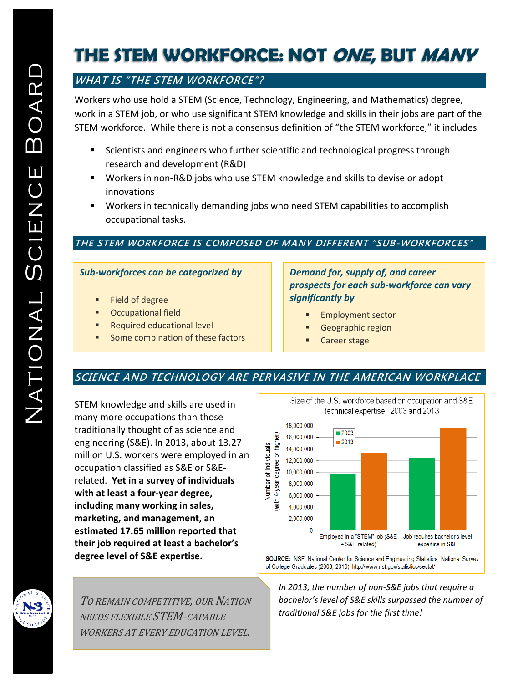# **THE STEM WORKFORCE: NOT ONE, BUT MANY**

# **WHAT IS "THE STEM WORKFORCE"?**

Workers who use hold a STEM (Science, Technology, Engineering, and Mathematics) degree, work in a STEM job, or who use significant STEM knowledge and skills in their jobs are part of the STEM workforce. While there is not a consensus definition of "the STEM workforce," it includes

- Scientists and engineers who further scientific and technological progress through research and development (R&D)
- Workers in non-R&D jobs who use STEM knowledge and skills to devise or adopt innovations
- Workers in technically demanding jobs who need STEM capabilities to accomplish occupational tasks.

#### **THE STEM WORKFORCE IS COMPOSED OF MANY DIFFERENT "SUB-WORKFORCES"**

#### *Sub-workforces can be categorized by*

- Field of degree
- Occupational field
- **Required educational level**
- **Some combination of these factors**

#### *Demand for, supply of, and career prospects for each sub-workforce can vary significantly by*

- **Employment sector**
- Geographic region
- Career stage

## **SCIENCE AND TECHNOLOGY ARE PERVASIVE IN THE AMERICAN WORKPLACE**

STEM knowledge and skills are used in many more occupations than those traditionally thought of as science and engineering (S&E). In 2013, about 13.27 million U.S. workers were employed in an occupation classified as S&E or S&Erelated. **Yet in a survey of individuals with at least a four-year degree, including many working in sales, marketing, and management, an estimated 17.65 million reported that their job required at least a bachelor's degree level of S&E expertise.**

TO REMAIN COMPETITIVE, OUR NATION NEEDS FLEXIBLE STEM-CAPABLE WORKERS AT EVERY EDUCATION LEVEL.

technical expertise: 2003 and 2013 18,000,000  $\blacksquare$  2003 with 4-year degree or higher) 16,000,000  $\blacksquare$  2013 **Jumber of Individuals** 14,000,000 12,000,000 10.000.000 8.000.000 6,000,000 4.000.000 2,000,000  $\Omega$ 

Size of the U.S. workforce based on occupation and S&E

Employed in a "STEM" job (S&E Job requires bachelor's level + S&E-related) expertise in S&E SOURCE: NSF, National Center for Science and Engineering Statistics, National Survey

of College Graduates (2003, 2010). http://www.nsf.gov/statistics/sestat/

*In 2013, the number of non-S&E jobs that require a bachelor's level of S&E skills surpassed the number of traditional S&E jobs for the first time!*